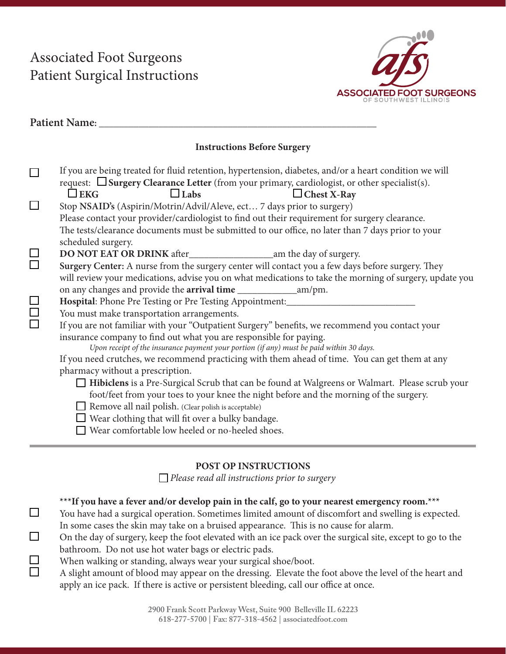# Associated Foot Surgeons Patient Surgical Instructions



|                                    | Patient Name: _                                                                                                                                                                                                                                                                                                                                                                                                                                    |  |  |  |  |  |  |
|------------------------------------|----------------------------------------------------------------------------------------------------------------------------------------------------------------------------------------------------------------------------------------------------------------------------------------------------------------------------------------------------------------------------------------------------------------------------------------------------|--|--|--|--|--|--|
| <b>Instructions Before Surgery</b> |                                                                                                                                                                                                                                                                                                                                                                                                                                                    |  |  |  |  |  |  |
| $\Box$                             | If you are being treated for fluid retention, hypertension, diabetes, and/or a heart condition we will<br>request: $\Box$ Surgery Clearance Letter (from your primary, cardiologist, or other specialist(s).<br>$\Box$ EKG<br>$\Box$ Labs<br>$\Box$ Chest X-Ray<br>Stop NSAID's (Aspirin/Motrin/Advil/Aleve, ect 7 days prior to surgery)<br>Please contact your provider/cardiologist to find out their requirement for surgery clearance.        |  |  |  |  |  |  |
| $\Box$                             | The tests/clearance documents must be submitted to our office, no later than 7 days prior to your<br>scheduled surgery.<br>Surgery Center: A nurse from the surgery center will contact you a few days before surgery. They                                                                                                                                                                                                                        |  |  |  |  |  |  |
|                                    | will review your medications, advise you on what medications to take the morning of surgery, update you<br>Hospital: Phone Pre Testing or Pre Testing Appointment: _________________________                                                                                                                                                                                                                                                       |  |  |  |  |  |  |
| 88<br>8                            | You must make transportation arrangements.<br>If you are not familiar with your "Outpatient Surgery" benefits, we recommend you contact your<br>insurance company to find out what you are responsible for paying.<br>Upon receipt of the insurance payment your portion (if any) must be paid within 30 days.                                                                                                                                     |  |  |  |  |  |  |
|                                    | If you need crutches, we recommend practicing with them ahead of time. You can get them at any<br>pharmacy without a prescription.<br>Hibiclens is a Pre-Surgical Scrub that can be found at Walgreens or Walmart. Please scrub your<br>foot/feet from your toes to your knee the night before and the morning of the surgery.<br>Remove all nail polish. (Clear polish is acceptable)<br>$\Box$ Wear clothing that will fit over a bulky bandage. |  |  |  |  |  |  |
|                                    | Wear comfortable low heeled or no-heeled shoes.                                                                                                                                                                                                                                                                                                                                                                                                    |  |  |  |  |  |  |

# **POST OP INSTRUCTIONS**

*Please read all instructions prior to surgery*

# **\*\*\*If you have a fever and/or develop pain in the calf, go to your nearest emergency room.\*\*\***

- You have had a surgical operation. Sometimes limited amount of discomfort and swelling is expected. In some cases the skin may take on a bruised appearance. This is no cause for alarm.
- On the day of surgery, keep the foot elevated with an ice pack over the surgical site, except to go to the bathroom. Do not use hot water bags or electric pads.
- When walking or standing, always wear your surgical shoe/boot.

 $\Box$ 

 $\Box$ 

 $\Box$  $\Box$ 

A slight amount of blood may appear on the dressing. Elevate the foot above the level of the heart and apply an ice pack. If there is active or persistent bleeding, call our office at once.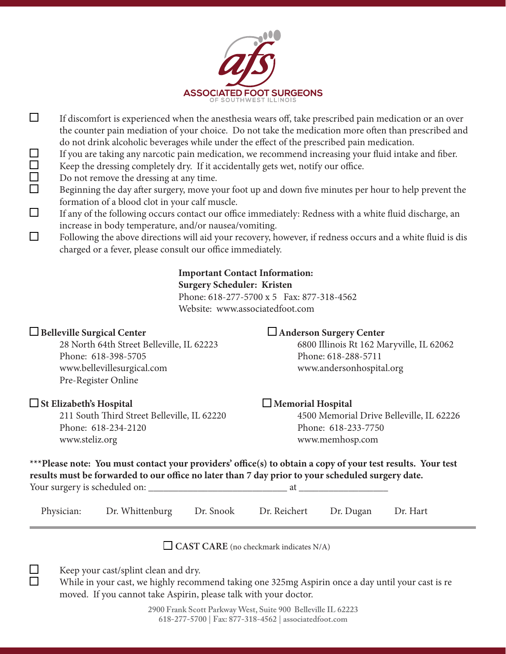

- $\Box$ If discomfort is experienced when the anesthesia wears off, take prescribed pain medication or an over the counter pain mediation of your choice. Do not take the medication more often than prescribed and do not drink alcoholic beverages while under the effect of the prescribed pain medication.
	- If you are taking any narcotic pain medication, we recommend increasing your fluid intake and fiber. Keep the dressing completely dry. If it accidentally gets wet, notify our office.
	- Do not remove the dressing at any time.
- $\Box$ Beginning the day after surgery, move your foot up and down five minutes per hour to help prevent the formation of a blood clot in your calf muscle.
- П If any of the following occurs contact our office immediately: Redness with a white fluid discharge, an increase in body temperature, and/or nausea/vomiting.
- $\Box$ Following the above directions will aid your recovery, however, if redness occurs and a white fluid is dis charged or a fever, please consult our office immediately.

# **Important Contact Information:**

# **Surgery Scheduler: Kristen**

 Phone: 618-277-5700 x 5 Fax: 877-318-4562 Website: www.associatedfoot.com

Phone: 618-398-5705 Phone: 618-288-5711 www.bellevillesurgical.com www.andersonhospital.org Pre-Register Online

211 South Third Street Belleville, IL 62220 4500 Memorial Drive Belleville, IL 62226 Phone: 618-234-2120 Phone: 618-233-7750 www.steliz.org www.memhosp.com

# □Belleville Surgical Center<br> **Anderson Surgery Center**

28 North 64th Street Belleville, IL 62223 6800 Illinois Rt 162 Maryville, IL 62062

# **St Elizabeth's Hospital Memorial Hospital**

|                                                                                                   | ***Please note: You must contact your providers' office(s) to obtain a copy of your test results. Your test |  |  |  |  |  |  |  |  |
|---------------------------------------------------------------------------------------------------|-------------------------------------------------------------------------------------------------------------|--|--|--|--|--|--|--|--|
| results must be forwarded to our office no later than 7 day prior to your scheduled surgery date. |                                                                                                             |  |  |  |  |  |  |  |  |
| Your surgery is scheduled on:                                                                     |                                                                                                             |  |  |  |  |  |  |  |  |

| Physician: Dr. Whittenburg Dr. Snook Dr. Reichert Dr. Dugan Dr. Hart |  |  |
|----------------------------------------------------------------------|--|--|
|                                                                      |  |  |

CAST CARE (no checkmark indicates N/A)



 $\Box$  $\Box$  $\Box$ 

Keep your cast/splint clean and dry.

While in your cast, we highly recommend taking one 325mg Aspirin once a day until your cast is re moved. If you cannot take Aspirin, please talk with your doctor.